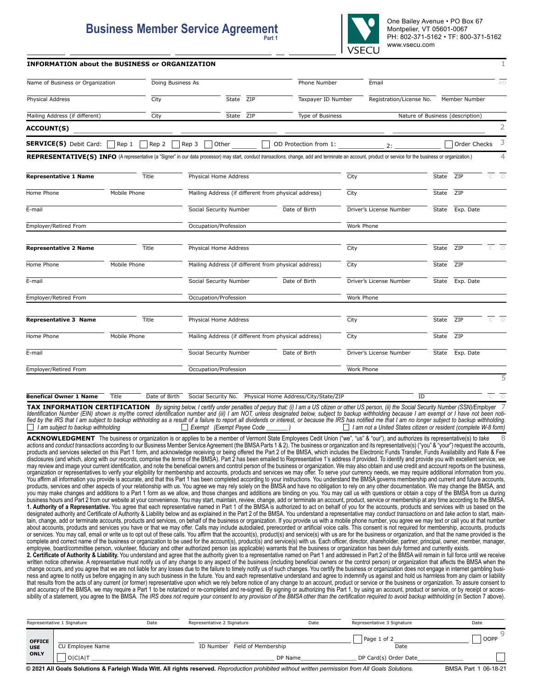## **Business Member Service Agreement Part 1**

One Bailey Avenue • PO Box 67 Montpelier, VT 05601-0067 PH: 802-371-5162 • TF: 800-371-5162 www.vsecu.com

| <b>INFORMATION about the BUSINESS or ORGANIZATION</b> |  |
|-------------------------------------------------------|--|
|-------------------------------------------------------|--|

| Name of Business or Organization                                                                                                                                                                         |                  | Doing Business As                                    |                       | Phone Number       | Email                    |              |                                  | #O                  |
|----------------------------------------------------------------------------------------------------------------------------------------------------------------------------------------------------------|------------------|------------------------------------------------------|-----------------------|--------------------|--------------------------|--------------|----------------------------------|---------------------|
|                                                                                                                                                                                                          |                  |                                                      |                       |                    |                          |              |                                  |                     |
| Physical Address                                                                                                                                                                                         | City             | State ZIP                                            |                       | Taxpayer ID Number | Registration/License No. |              | Member Number                    |                     |
| Mailing Address (if different)                                                                                                                                                                           | City             | State ZIP                                            |                       | Type of Business   |                          |              | Nature of Business (description) |                     |
| <b>ACCOUNT(S)</b>                                                                                                                                                                                        |                  |                                                      |                       |                    |                          |              |                                  | $\overline{2}$      |
| <b>SERVICE(S)</b> Debit Card: $\begin{bmatrix} \end{bmatrix}$ Rep 1                                                                                                                                      | Rep <sub>2</sub> | $ $ Rep 3<br>Other                                   | OD Protection from 1: |                    | 2:                       |              | Order Checks                     | 3                   |
| REPRESENTATIVE(S) INFO (A representative (a "Signer" in our data processor) may start, conduct transactions, change, add and terminate an account, product or service for the business or organization.) |                  |                                                      |                       |                    |                          |              |                                  | 4                   |
| <b>Representative 1 Name</b>                                                                                                                                                                             | Title            | Physical Home Address                                |                       | City               |                          | State        | ZIP                              | $\overline{O}$<br>C |
| Home Phone                                                                                                                                                                                               | Mobile Phone     | Mailing Address (if different from physical address) |                       | City               |                          | State        | ZIP                              |                     |
| E-mail                                                                                                                                                                                                   |                  | Social Security Number                               | Date of Birth         |                    | Driver's License Number  | State        | Exp. Date                        |                     |
| Employer/Retired From                                                                                                                                                                                    |                  | Occupation/Profession                                |                       |                    | Work Phone               |              |                                  |                     |
| <b>Representative 2 Name</b>                                                                                                                                                                             | Title            | Physical Home Address                                |                       | City               |                          | State        | ZIP                              | $\overline{C}$ 0    |
| Home Phone                                                                                                                                                                                               | Mobile Phone     | Mailing Address (if different from physical address) |                       | City               |                          | <b>State</b> | ZIP                              |                     |
| E-mail                                                                                                                                                                                                   |                  | Social Security Number                               | Date of Birth         |                    | Driver's License Number  | State        | Exp. Date                        |                     |
| Employer/Retired From                                                                                                                                                                                    |                  | Occupation/Profession                                |                       |                    | <b>Work Phone</b>        |              |                                  |                     |
| <b>Representative 3 Name</b>                                                                                                                                                                             | Title            | Physical Home Address                                |                       | City               |                          | State        | ZIP                              | $\overline{O}$<br>C |
| Home Phone                                                                                                                                                                                               | Mobile Phone     | Mailing Address (if different from physical address) |                       | City               |                          | State        | ZIP                              |                     |
| E-mail                                                                                                                                                                                                   |                  | Social Security Number                               | Date of Birth         |                    | Driver's License Number  | State        | Exp. Date                        |                     |
| Employer/Retired From                                                                                                                                                                                    |                  | Occupation/Profession                                |                       |                    | <b>Work Phone</b>        |              |                                  |                     |
|                                                                                                                                                                                                          |                  |                                                      |                       |                    |                          |              |                                  | 5                   |

**Benefical Owner 1 Name** Title Date of Birth Social Security No. Physical Home Address/City/State/ZIP ID **ID** 

**TAX INFORMATION CERTIFICATION** By signing below, I certify under penalties of perjury that: (i) I am a US citizen or other US person, (ii) the Social Security Number (SSN)/Employer 7 Identification Number (EIN) shown is my/the correct identification number and (iii) I am NOT, unless designated below, subject to backup withholding because I am exempt or I have not been noti-<br>fied by the IRS that I am s *I am not a United States citizen or resident (complete W-8 form)* 

ACKNOWLEDGMENT The business or organization is or applies to be a member of Vermont State Employees Cedit Union ("we", "us" & "our"), and authorizes its representative(s) to take <sup>8</sup> *actions* and *conduct transactions* according to our Business Member Service Agreement (the BMSA Parts 1 & 2). The business or organization and its representative(s) ("you" & "your") request the accounts,<br>products and ser disclosures (and which, along with *our records*, comprise the *terms* of the BMSA). Part 2 has been emailed to Representative 1's address if provided. To identify and provide you with excellent service, we may review and image your current identification, and note the beneficial owners and control person of the business or organization. We may also obtain and use credit and account reports on the business, organization or representatives to verify your eligibility for membership and accounts, products and services we may offer. To serve your currency needs, we may require additional information from you.<br>You affirm all infor products, services and other aspects of your relationship with us. You agree we may rely solely on the BMSA and have no obligation to rely on any other documentation. We may change the BMSA, and you may make changes and additions to a Part 1 form as we allow, and those changes and additions are binding on you. You may call us with questions or obtain a copy of the BMSA from us during business hours and Part 2 from our website at your convenience. You may start, maintain, review, change, add or terminate an account, product, service or membership at any time according to the BMSA. **1. Authority of a Representative.** You agree that each representative named in Part 1 of the BMSA is authorized to act on behalf of you for the accounts, products and services with us based on the designated authority and Certificate of Authority & Liability below and as explained in the Part 2 of the BMSA. You understand a representative may *conduct transactions on* and *take action* to start, maintain, change, add or terminate accounts, products and services, on behalf of the business or organization. If you provide us with a mobile phone number, you agree we may text or call you at that number about accounts, products and services you have or that we may offer. Calls may include autodialed, prerecorded or artificial voice calls. This consent is not required for membership, accounts, products or services. You may call, email or write us to opt out of these calls. You affirm that the account(s), product(s) and service(s) with us are for the business or organization, and that the name provided is the complete and correct name of the business or organization to be used for the account(s), product(s) and service(s) with us. Each officer, director, shareholder, partner, principal, owner, member, manager, employee, board/committee person, volunteer, fiduciary and other authorized person (as applicable) warrants that the business or organization has been duly formed and currently exists.

**2. Certificate of Authority & Liability.** You understand and agree that the authority given to a representative named on Part 1 and addressed in Part 2 of the BMSA will remain in full force until we receive written notice otherwise. A representative must notify us of any change to any aspect of the business (including beneficial owners or the control person) or organization that affects the BMSA when the change occurs, and you agree that we are not liable for any losses due to the failure to timely notify us of such changes. You certify the business or organization does not engage in internet gambling business and agree to notify us before engaging in any such business in the future. You and each representative understand and agree to indemnify us against and hold us harmless from any claim or liability that results from the acts of any current (or former) representative upon which we rely before notice of any change to an account, product or service or the business or organization. To assure consent to and accuracy of the BMSA, we may require a Part 1 to be notarized or re-completed and re-signed. By signing or authorizing this Part 1, by using an account, product or service, or by receipt or acces-<br>sibility of a stateme

|                             | Representative 1 Signature | Date | Representative 2 Signature                                                                                                                         | Date | Representative 3 Signature | Date                 |
|-----------------------------|----------------------------|------|----------------------------------------------------------------------------------------------------------------------------------------------------|------|----------------------------|----------------------|
| <b>OFFICE</b><br><b>USE</b> | CU Employee Name           |      | Field of Membership<br>ID Number                                                                                                                   |      | Page 1 of 2<br>Date        | <b>OOPP</b>          |
| <b>ONLY</b>                 | <b>OICIAIT</b>             |      | DP Name                                                                                                                                            |      | DP Card(s) Order Date      |                      |
|                             |                            |      | © 2021 All Goals Solutions & Farleigh Wada Witt. All rights reserved. Reproduction prohibited without written permission from All Goals Solutions. |      |                            | BMSA Part 1 06-18-21 |